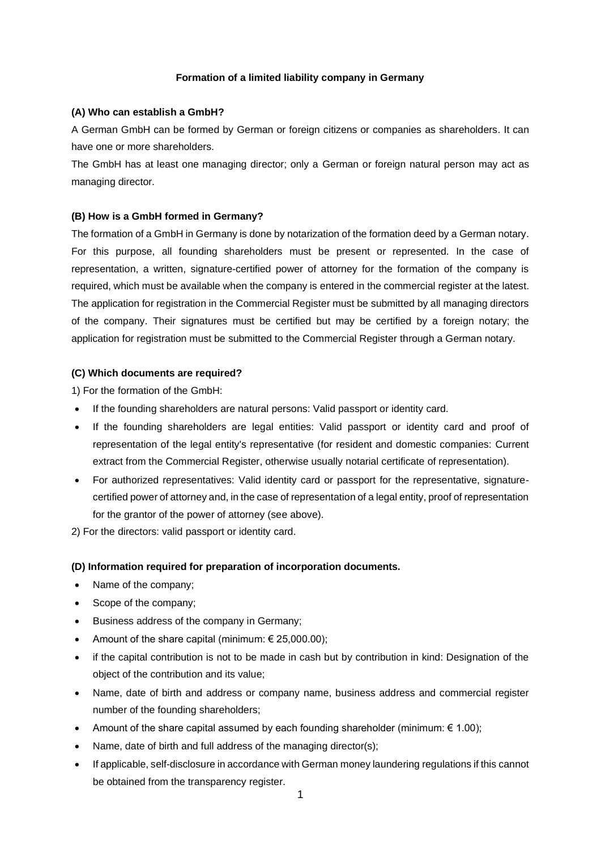## **Formation of a limited liability company in Germany**

### **(A) Who can establish a GmbH?**

A German GmbH can be formed by German or foreign citizens or companies as shareholders. It can have one or more shareholders.

The GmbH has at least one managing director; only a German or foreign natural person may act as managing director.

## **(B) How is a GmbH formed in Germany?**

The formation of a GmbH in Germany is done by notarization of the formation deed by a German notary. For this purpose, all founding shareholders must be present or represented. In the case of representation, a written, signature-certified power of attorney for the formation of the company is required, which must be available when the company is entered in the commercial register at the latest. The application for registration in the Commercial Register must be submitted by all managing directors of the company. Their signatures must be certified but may be certified by a foreign notary; the application for registration must be submitted to the Commercial Register through a German notary.

### **(C) Which documents are required?**

1) For the formation of the GmbH:

- If the founding shareholders are natural persons: Valid passport or identity card.
- If the founding shareholders are legal entities: Valid passport or identity card and proof of representation of the legal entity's representative (for resident and domestic companies: Current extract from the Commercial Register, otherwise usually notarial certificate of representation).
- For authorized representatives: Valid identity card or passport for the representative, signaturecertified power of attorney and, in the case of representation of a legal entity, proof of representation for the grantor of the power of attorney (see above).

2) For the directors: valid passport or identity card.

#### **(D) Information required for preparation of incorporation documents.**

- Name of the company;
- Scope of the company;
- Business address of the company in Germany;
- Amount of the share capital (minimum:  $\epsilon$  25,000.00);
- if the capital contribution is not to be made in cash but by contribution in kind: Designation of the object of the contribution and its value;
- Name, date of birth and address or company name, business address and commercial register number of the founding shareholders;
- Amount of the share capital assumed by each founding shareholder (minimum:  $\epsilon$  1.00);
- Name, date of birth and full address of the managing director(s);
- If applicable, self-disclosure in accordance with German money laundering regulations ifthis cannot be obtained from the transparency register.